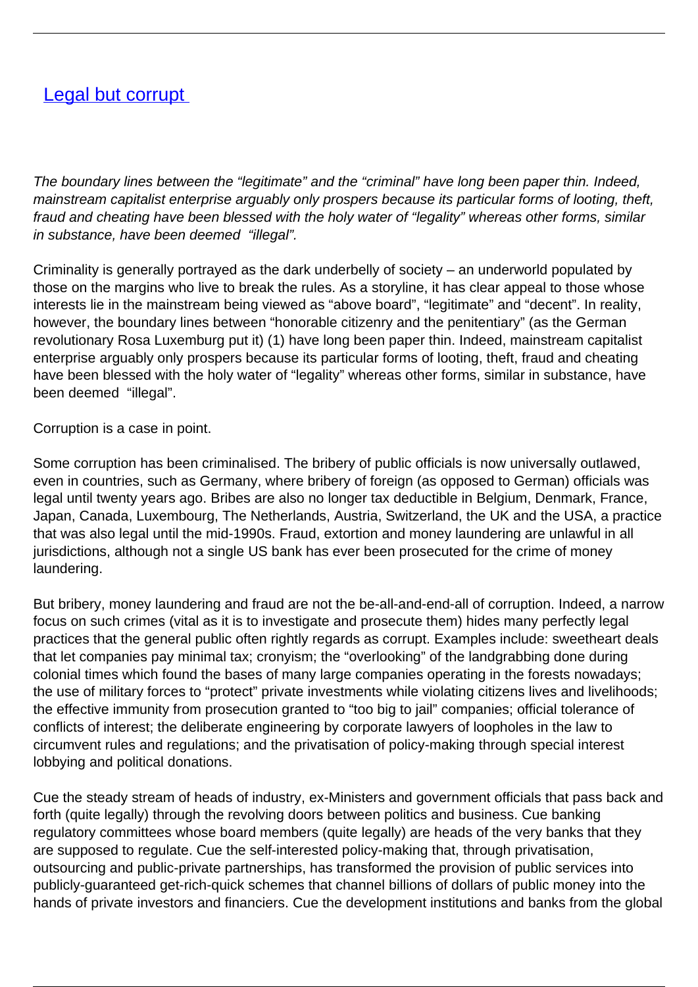## [Legal but corrupt](/bulletin-articles/legal-but-corrupt)

The boundary lines between the "legitimate" and the "criminal" have long been paper thin. Indeed, mainstream capitalist enterprise arguably only prospers because its particular forms of looting, theft, fraud and cheating have been blessed with the holy water of "legality" whereas other forms, similar in substance, have been deemed "illegal".

Criminality is generally portrayed as the dark underbelly of society – an underworld populated by those on the margins who live to break the rules. As a storyline, it has clear appeal to those whose interests lie in the mainstream being viewed as "above board", "legitimate" and "decent". In reality, however, the boundary lines between "honorable citizenry and the penitentiary" (as the German revolutionary Rosa Luxemburg put it) (1) have long been paper thin. Indeed, mainstream capitalist enterprise arguably only prospers because its particular forms of looting, theft, fraud and cheating have been blessed with the holy water of "legality" whereas other forms, similar in substance, have been deemed "illegal".

Corruption is a case in point.

Some corruption has been criminalised. The bribery of public officials is now universally outlawed, even in countries, such as Germany, where bribery of foreign (as opposed to German) officials was legal until twenty years ago. Bribes are also no longer tax deductible in Belgium, Denmark, France, Japan, Canada, Luxembourg, The Netherlands, Austria, Switzerland, the UK and the USA, a practice that was also legal until the mid-1990s. Fraud, extortion and money laundering are unlawful in all jurisdictions, although not a single US bank has ever been prosecuted for the crime of money laundering.

But bribery, money laundering and fraud are not the be-all-and-end-all of corruption. Indeed, a narrow focus on such crimes (vital as it is to investigate and prosecute them) hides many perfectly legal practices that the general public often rightly regards as corrupt. Examples include: sweetheart deals that let companies pay minimal tax; cronyism; the "overlooking" of the landgrabbing done during colonial times which found the bases of many large companies operating in the forests nowadays; the use of military forces to "protect" private investments while violating citizens lives and livelihoods; the effective immunity from prosecution granted to "too big to jail" companies; official tolerance of conflicts of interest; the deliberate engineering by corporate lawyers of loopholes in the law to circumvent rules and regulations; and the privatisation of policy-making through special interest lobbying and political donations.

Cue the steady stream of heads of industry, ex-Ministers and government officials that pass back and forth (quite legally) through the revolving doors between politics and business. Cue banking regulatory committees whose board members (quite legally) are heads of the very banks that they are supposed to regulate. Cue the self-interested policy-making that, through privatisation, outsourcing and public-private partnerships, has transformed the provision of public services into publicly-guaranteed get-rich-quick schemes that channel billions of dollars of public money into the hands of private investors and financiers. Cue the development institutions and banks from the global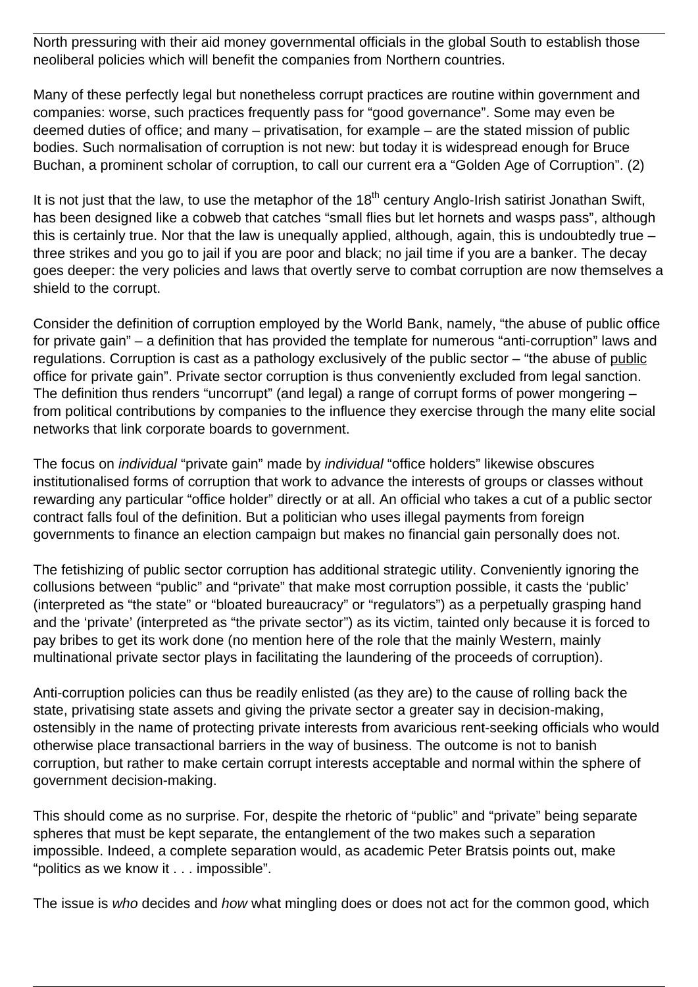North pressuring with their aid money governmental officials in the global South to establish those neoliberal policies which will benefit the companies from Northern countries.

Many of these perfectly legal but nonetheless corrupt practices are routine within government and companies: worse, such practices frequently pass for "good governance". Some may even be deemed duties of office; and many – privatisation, for example – are the stated mission of public bodies. Such normalisation of corruption is not new: but today it is widespread enough for Bruce Buchan, a prominent scholar of corruption, to call our current era a "Golden Age of Corruption". (2)

It is not just that the law, to use the metaphor of the  $18<sup>th</sup>$  century Anglo-Irish satirist Jonathan Swift, has been designed like a cobweb that catches "small flies but let hornets and wasps pass", although this is certainly true. Nor that the law is unequally applied, although, again, this is undoubtedly true – three strikes and you go to jail if you are poor and black; no jail time if you are a banker. The decay goes deeper: the very policies and laws that overtly serve to combat corruption are now themselves a shield to the corrupt.

Consider the definition of corruption employed by the World Bank, namely, "the abuse of public office for private gain" – a definition that has provided the template for numerous "anti-corruption" laws and regulations. Corruption is cast as a pathology exclusively of the public sector – "the abuse of public office for private gain". Private sector corruption is thus conveniently excluded from legal sanction. The definition thus renders "uncorrupt" (and legal) a range of corrupt forms of power mongering – from political contributions by companies to the influence they exercise through the many elite social networks that link corporate boards to government.

The focus on *individual* "private gain" made by *individual* "office holders" likewise obscures institutionalised forms of corruption that work to advance the interests of groups or classes without rewarding any particular "office holder" directly or at all. An official who takes a cut of a public sector contract falls foul of the definition. But a politician who uses illegal payments from foreign governments to finance an election campaign but makes no financial gain personally does not.

The fetishizing of public sector corruption has additional strategic utility. Conveniently ignoring the collusions between "public" and "private" that make most corruption possible, it casts the 'public' (interpreted as "the state" or "bloated bureaucracy" or "regulators") as a perpetually grasping hand and the 'private' (interpreted as "the private sector") as its victim, tainted only because it is forced to pay bribes to get its work done (no mention here of the role that the mainly Western, mainly multinational private sector plays in facilitating the laundering of the proceeds of corruption).

Anti-corruption policies can thus be readily enlisted (as they are) to the cause of rolling back the state, privatising state assets and giving the private sector a greater say in decision-making, ostensibly in the name of protecting private interests from avaricious rent-seeking officials who would otherwise place transactional barriers in the way of business. The outcome is not to banish corruption, but rather to make certain corrupt interests acceptable and normal within the sphere of government decision-making.

This should come as no surprise. For, despite the rhetoric of "public" and "private" being separate spheres that must be kept separate, the entanglement of the two makes such a separation impossible. Indeed, a complete separation would, as academic Peter Bratsis points out, make "politics as we know it . . . impossible".

The issue is who decides and how what mingling does or does not act for the common good, which